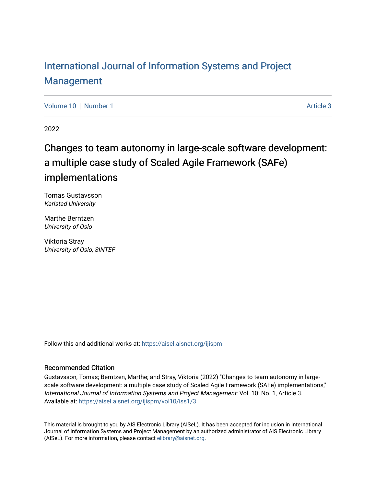# [International Journal of Information Systems and Project](https://aisel.aisnet.org/ijispm)  [Management](https://aisel.aisnet.org/ijispm)

[Volume 10](https://aisel.aisnet.org/ijispm/vol10) [Number 1](https://aisel.aisnet.org/ijispm/vol10/iss1) Article 3

2022

# Changes to team autonomy in large-scale software development: a multiple case study of Scaled Agile Framework (SAFe) implementations

Tomas Gustavsson Karlstad University

Marthe Berntzen University of Oslo

Viktoria Stray University of Oslo, SINTEF

Follow this and additional works at: [https://aisel.aisnet.org/ijispm](https://aisel.aisnet.org/ijispm?utm_source=aisel.aisnet.org%2Fijispm%2Fvol10%2Fiss1%2F3&utm_medium=PDF&utm_campaign=PDFCoverPages) 

# Recommended Citation

Gustavsson, Tomas; Berntzen, Marthe; and Stray, Viktoria (2022) "Changes to team autonomy in largescale software development: a multiple case study of Scaled Agile Framework (SAFe) implementations," International Journal of Information Systems and Project Management: Vol. 10: No. 1, Article 3. Available at: [https://aisel.aisnet.org/ijispm/vol10/iss1/3](https://aisel.aisnet.org/ijispm/vol10/iss1/3?utm_source=aisel.aisnet.org%2Fijispm%2Fvol10%2Fiss1%2F3&utm_medium=PDF&utm_campaign=PDFCoverPages) 

This material is brought to you by AIS Electronic Library (AISeL). It has been accepted for inclusion in International Journal of Information Systems and Project Management by an authorized administrator of AIS Electronic Library (AISeL). For more information, please contact [elibrary@aisnet.org](mailto:elibrary@aisnet.org%3E).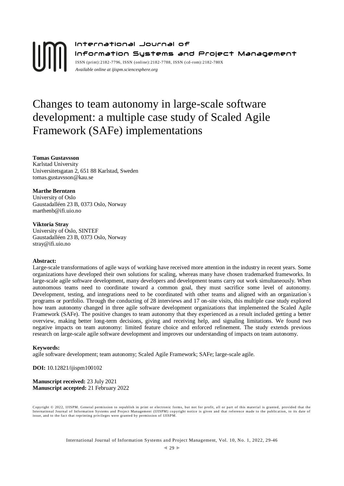# International Journal of Information Systems and Project Management ISSN (print):2182-7796, ISSN (online):2182-7788, ISSN ( cd-rom):2182-780X *Available online a[t ijispm.sciencesphere.org](http://www.sciencesphere.org/ijispm)*

# Changes to team autonomy in large-scale software development: a multiple case study of Scaled Agile Framework (SAFe) implementations

**Tomas Gustavsson** Karlstad University Universitetsgatan 2, 651 88 Karlstad, Sweden tomas.gustavsson@kau.se

#### **Marthe Berntzen**

University of Oslo Gaustadalléen 23 B, 0373 Oslo, Norway marthenb@ifi.uio.no

## **Viktoria Stray**

University of Oslo, SINTEF Gaustadalléen 23 B, 0373 Oslo, Norway stray@ifi.uio.no

# **Abstract:**

Large-scale transformations of agile ways of working have received more attention in the industry in recent years. Some organizations have developed their own solutions for scaling, whereas many have chosen trademarked frameworks. In large-scale agile software development, many developers and development teams carry out work simultaneously. When autonomous teams need to coordinate toward a common goal, they must sacrifice some level of autonomy. Development, testing, and integrations need to be coordinated with other teams and aligned with an organization´s programs or portfolio. Through the conducting of 28 interviews and 17 on-site visits, this multiple case study explored how team autonomy changed in three agile software development organizations that implemented the Scaled Agile Framework (SAFe). The positive changes to team autonomy that they experienced as a result included getting a better overview, making better long-term decisions, giving and receiving help, and signaling limitations. We found two negative impacts on team autonomy: limited feature choice and enforced refinement. The study extends previous research on large-scale agile software development and improves our understanding of impacts on team autonomy.

#### **Keywords:**

agile software development; team autonomy; Scaled Agile Framework; SAFe; large-scale agile.

**DOI:** 10.12821/ijispm100102

**Manuscript received:** 23 July 2021 **Manuscript accepted:** 21 February 2022

Copyright © 2022, IJISPM. General permission to republish in print or electronic forms, but not for profit, all or part of this material is granted, provided that the<br>International Journal of Information Systems and Projec issue, and to the fact that reprinting privileges were granted by permission of IJISPM.

International Journal of Information Systems and Project Management, Vol. 10, No. 1, 2022, 29-46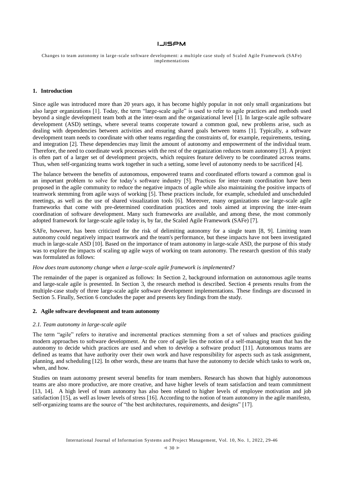Changes to team autonomy in large -scale software development: a multiple case study of Scaled Agile Framework (SAFe) implementations

#### **1. Introduction**

Since agile was introduced more than 20 years ago, it has become highly popular in not only small organizations but also larger organizations [1]. Today, the term "large-scale agile" is used to refer to agile practices and methods used beyond a single development team both at the inter-team and the organizational level [1]. In large-scale agile software development (ASD) settings, where several teams cooperate toward a common goal, new problems arise, such as dealing with dependencies between activities and ensuring shared goals between teams [1]. Typically, a software development team needs to coordinate with other teams regarding the constraints of, for example, requirements, testing, and integration [2]. These dependencies may limit the amount of autonomy and empowerment of the individual team. Therefore, the need to coordinate work processes with the rest of the organization reduces team autonomy [3]. A project is often part of a larger set of development projects, which requires feature delivery to be coordinated across teams. Thus, when self-organizing teams work together in such a setting, some level of autonomy needs to be sacrificed [4].

The balance between the benefits of autonomous, empowered teams and coordinated efforts toward a common goal is an important problem to solve for today's software industry [5]. Practices for inter-team coordination have been proposed in the agile community to reduce the negative impacts of agile while also maintaining the positive impacts of teamwork stemming from agile ways of working [5]. These practices include, for example, scheduled and unscheduled meetings, as well as the use of shared visualization tools [6]. Moreover, many organizations use large-scale agile frameworks that come with pre-determined coordination practices and tools aimed at improving the inter-team coordination of software development. Many such frameworks are available, and among these, the most commonly adopted framework for large-scale agile today is, by far, the Scaled Agile Framework (SAFe) [7].

SAFe, however, has been criticized for the risk of delimiting autonomy for a single team [8, 9]. Limiting team autonomy could negatively impact teamwork and the team's performance, but these impacts have not been investigated much in large-scale ASD [10]. Based on the importance of team autonomy in large-scale ASD, the purpose of this study was to explore the impacts of scaling up agile ways of working on team autonomy. The research question of this study was formulated as follows:

#### *How does team autonomy change when a large-scale agile framework is implemented?*

The remainder of the paper is organized as follows: In Section 2, background information on autonomous agile teams and large-scale agile is presented. In Section 3, the research method is described. Section 4 presents results from the multiple-case study of three large-scale agile software development implementations. These findings are discussed in Section 5. Finally, Section 6 concludes the paper and presents key findings from the study.

#### **2. Agile software development and team autonomy**

# *2.1. Team autonomy in large-scale agile*

The term "agile" refers to iterative and incremental practices stemming from a set of values and practices guiding modern approaches to software development. At the core of agile lies the notion of a self-managing team that has the autonomy to decide which practices are used and when to develop a software product [11]. Autonomous teams are defined as teams that have authority over their own work and have responsibility for aspects such as task assignment, planning, and scheduling [12]. In other words, these are teams that have the autonomy to decide which tasks to work on, when, and how.

Studies on team autonomy present several benefits for team members. Research has shown that highly autonomous teams are also more productive, are more creative, and have higher levels of team satisfaction and team commitment [13, 14]. A high level of team autonomy has also been related to higher levels of employee motivation and job satisfaction [15], as well as lower levels of stress [16]. According to the notion of team autonomy in the agile manifesto, self-organizing teams are the source of "the best architectures, requirements, and designs" [17].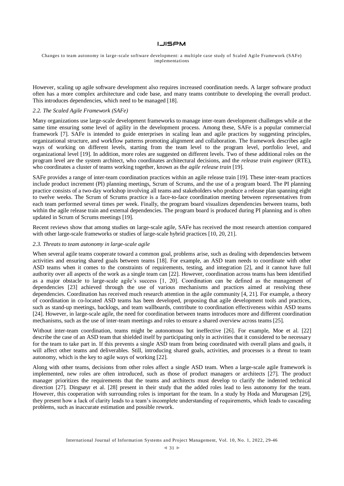Changes to team autonomy in large -scale software development: a multiple case study of Scaled Agile Framework (SAFe) implementations

However, scaling up agile software development also requires increased coordination needs. A larger software product often has a more complex architecture and code base, and many teams contribute to developing the overall product. This introduces dependencies, which need to be managed [18].

# *2.2. The Scaled Agile Framework (SAFe)*

Many organizations use large-scale development frameworks to manage inter-team development challenges while at the same time ensuring some level of agility in the development process. Among these, SAFe is a popular commercial framework [7]. SAFe is intended to guide enterprises in scaling lean and agile practices by suggesting principles, organizational structure, and workflow patterns promoting alignment and collaboration. The framework describes agile ways of working on different levels, starting from the team level to the program level, portfolio level, and organizational level [19]. In addition, more roles are suggested on different levels. Two of these additional roles on the program level are the system architect, who coordinates architectural decisions, and the *release train engineer* (RTE), who coordinates a cluster of teams working together, known as the *agile release train* [19].

SAFe provides a range of inter-team coordination practices within an agile release train [19]. These inter-team practices include product increment (PI) planning meetings, Scrum of Scrums, and the use of a program board. The PI planning practice consists of a two-day workshop involving all teams and stakeholders who produce a release plan spanning eight to twelve weeks. The Scrum of Scrums practice is a face-to-face coordination meeting between representatives from each team performed several times per week. Finally, the program board visualizes dependencies between teams, both within the agile release train and external dependencies. The program board is produced during PI planning and is often updated in Scrum of Scrums meetings [19].

Recent reviews show that among studies on large-scale agile, SAFe has received the most research attention compared with other large-scale frameworks or studies of large-scale hybrid practices [10, 20, 21].

### *2.3. Threats to team autonomy in large-scale agile*

When several agile teams cooperate toward a common goal, problems arise, such as dealing with dependencies between activities and ensuring shared goals between teams [18]. For example, an ASD team needs to coordinate with other ASD teams when it comes to the constraints of requirements, testing, and integration [2], and it cannot have full authority over all aspects of the work as a single team can [22]. However, coordination across teams has been identified as a major obstacle to large-scale agile's success [1, 20]. Coordination can be defined as the management of dependencies [23] achieved through the use of various mechanisms and practices aimed at resolving these dependencies. Coordination has received much research attention in the agile community [4, 21]. For example, a theory of coordination in co-located ASD teams has been developed, proposing that agile development tools and practices, such as stand-up meetings, backlogs, and team wallboards, contribute to coordination effectiveness within ASD teams [24]. However, in large-scale agile, the need for coordination between teams introduces more and different coordination mechanisms, such as the use of inter-team meetings and roles to ensure a shared overview across teams [25].

Without inter-team coordination, teams might be autonomous but ineffective [26]. For example, Moe et al. [22] describe the case of an ASD team that shielded itself by participating only in activities that it considered to be necessary for the team to take part in. If this prevents a single ASD team from being coordinated with overall plans and goals, it will affect other teams and deliverables. Still, introducing shared goals, activities, and processes is a threat to team autonomy, which is the key to agile ways of working [22].

Along with other teams, decisions from other roles affect a single ASD team. When a large-scale agile framework is implemented, new roles are often introduced, such as those of product managers or architects [27]. The product manager prioritizes the requirements that the teams and architects must develop to clarify the indented technical direction [27]. Dingsøyr et al. [28] present in their study that the added roles lead to less autonomy for the team. However, this cooperation with surrounding roles is important for the team. In a study by Hoda and Murugesan [29], they present how a lack of clarity leads to a team's incomplete understanding of requirements, which leads to cascading problems, such as inaccurate estimation and possible rework.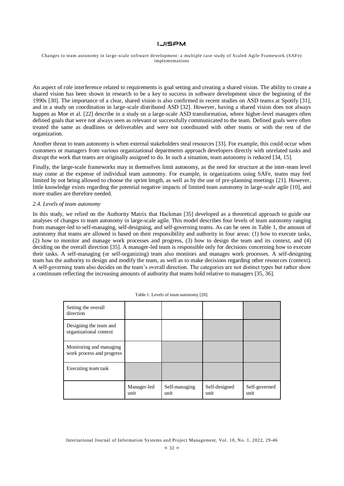#### Changes to team autonomy in large -scale software development: a multiple case study of Scaled Agile Framework (SAFe) implementations

An aspect of role interference related to requirements is goal setting and creating a shared vision. The ability to create a shared vision has been shown in research to be a key to success in software development since the beginning of the 1990s [30]. The importance of a clear, shared vision is also confirmed in recent studies on ASD teams at Spotify [31], and in a study on coordination in large-scale distributed ASD [32]. However, having a shared vision does not always happen as Moe et al. [22] describe in a study on a large-scale ASD transformation, where higher-level managers often defined goals that were not always seen as relevant or successfully communicated to the team. Defined goals were often treated the same as deadlines or deliverables and were not coordinated with other teams or with the rest of the organization.

Another threat to team autonomy is when external stakeholders steal resources [33]. For example, this could occur when customers or managers from various organizational departments approach developers directly with unrelated tasks and disrupt the work that teams are originally assigned to do. In such a situation, team autonomy is reduced [34, 15].

Finally, the large-scale frameworks may in themselves limit autonomy, as the need for structure at the inter-team level may come at the expense of individual team autonomy. For example, in organizations using SAFe, teams may feel limited by not being allowed to choose the sprint length, as well as by the use of pre-planning meetings [21]. However, little knowledge exists regarding the potential negative impacts of limited team autonomy in large-scale agile [10], and more studies are therefore needed.

#### *2.4. Levels of team autonomy*

In this study, we relied on the Authority Matrix that Hackman [35] developed as a theoretical approach to guide our analyses of changes to team autonomy in large-scale agile. This model describes four levels of team autonomy ranging from manager-led to self-managing, self-designing, and self-governing teams. As can be seen in Table 1, the amount of autonomy that teams are allowed is based on their responsibility and authority in four areas: (1) how to execute tasks, (2) how to monitor and manage work processes and progress, (3) how to design the team and its context, and (4) deciding on the overall direction [35]. A manager-led team is responsible only for decisions concerning how to execute their tasks. A self-managing (or self-organizing) team also monitors and manages work processes. A self-designing team has the authority to design and modify the team, as well as to make decisions regarding other resources (context). A self-governing team also decides on the team's overall direction. The categories are not distinct types but rather show a continuum reflecting the increasing amounts of authority that teams hold relative to managers [35, 36].

| Setting the overall<br>direction                     |                     |                       |                       |                       |
|------------------------------------------------------|---------------------|-----------------------|-----------------------|-----------------------|
| Designing the team and<br>organizational context     |                     |                       |                       |                       |
| Monitoring and managing<br>work process and progress |                     |                       |                       |                       |
| Executing team task                                  |                     |                       |                       |                       |
|                                                      | Manager-led<br>unit | Self-managing<br>unit | Self-designed<br>unit | Self-governed<br>unit |

|  | Table 1. Levels of team autonomy [20]. |  |
|--|----------------------------------------|--|

International Journal of Information Systems and Project Management, Vol. 10, No. 1, 2022, 29-46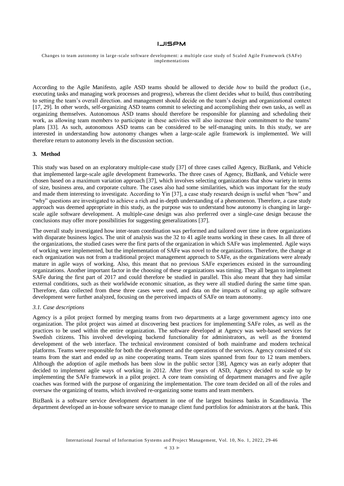Changes to team autonomy in large -scale software development: a multiple case study of Scaled Agile Framework (SAFe) implementations

According to the Agile Manifesto, agile ASD teams should be allowed to decide *how* to build the product (i.e., executing tasks and managing work processes and progress), whereas the client decides *what* to build, thus contributing to setting the team's overall direction. and management should decide on the team's design and organizational context [17, 29]. In other words, self-organizing ASD teams commit to selecting and accomplishing their own tasks, as well as organizing themselves. Autonomous ASD teams should therefore be responsible for planning and scheduling their work, as allowing team members to participate in these activities will also increase their commitment to the teams' plans [33]. As such, autonomous ASD teams can be considered to be self-managing units. In this study, we are interested in understanding how autonomy changes when a large-scale agile framework is implemented. We will therefore return to autonomy levels in the discussion section.

## **3. Method**

This study was based on an exploratory multiple-case study [37] of three cases called Agency, BizBank, and Vehicle that implemented large-scale agile development frameworks. The three cases of Agency, BizBank, and Vehicle were chosen based on a maximum variation approach [37], which involves selecting organizations that show variety in terms of size, business area, and corporate culture. The cases also had some similarities, which was important for the study and made them interesting to investigate. According to Yin [37], a case study research design is useful when "how" and "why" questions are investigated to achieve a rich and in-depth understanding of a phenomenon. Therefore, a case study approach was deemed appropriate in this study, as the purpose was to understand how autonomy is changing in largescale agile software development. A multiple-case design was also preferred over a single-case design because the conclusions may offer more possibilities for suggesting generalizations [37].

The overall study investigated how inter-team coordination was performed and tailored over time in three organizations with disparate business logics. The unit of analysis was the 32 to 41 agile teams working in these cases. In all three of the organizations, the studied cases were the first parts of the organization in which SAFe was implemented. Agile ways of working were implemented, but the implementation of SAFe was novel to the organizations. Therefore, the change at each organization was not from a traditional project management approach to SAFe, as the organizations were already mature in agile ways of working. Also, this meant that no previous SAFe experiences existed in the surrounding organizations. Another important factor in the choosing of these organizations was timing. They all began to implement SAFe during the first part of 2017 and could therefore be studied in parallel. This also meant that they had similar external conditions, such as their worldwide economic situation, as they were all studied during the same time span. Therefore, data collected from these three cases were used, and data on the impacts of scaling up agile software development were further analyzed, focusing on the perceived impacts of SAFe on team autonomy.

#### *3.1. Case descriptions*

Agency is a pilot project formed by merging teams from two departments at a large government agency into one organization. The pilot project was aimed at discovering best practices for implementing SAFe roles, as well as the practices to be used within the entire organization. The software developed at Agency was web-based services for Swedish citizens. This involved developing backend functionality for administrators, as well as the frontend development of the web interface. The technical environment consisted of both mainframe and modern technical platforms. Teams were responsible for both the development and the operations of the services. Agency consisted of six teams from the start and ended up as nine cooperating teams. Team sizes spanned from four to 12 team members. Although the adoption of agile methods has been slow in the public sector [38], Agency was an early adopter that decided to implement agile ways of working in 2012. After five years of ASD, Agency decided to scale up by implementing the SAFe framework in a pilot project. A core team consisting of department managers and five agile coaches was formed with the purpose of organizing the implementation. The core team decided on all of the roles and oversaw the organizing of teams, which involved re-organizing some teams and team members.

BizBank is a software service development department in one of the largest business banks in Scandinavia. The department developed an in-house software service to manage client fund portfolios for administrators at the bank. This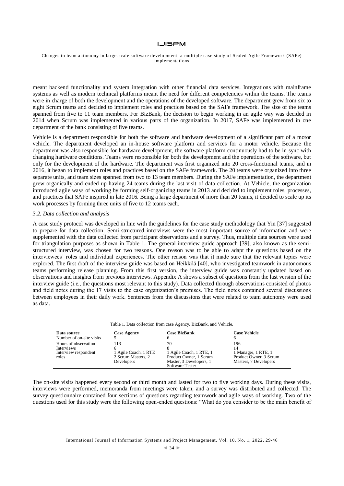#### Changes to team autonomy in large -scale software development: a multiple case study of Scaled Agile Framework (SAFe) implementations

meant backend functionality and system integration with other financial data services. Integrations with mainframe systems as well as modern technical platforms meant the need for different competencies within the teams. The teams were in charge of both the development and the operations of the developed software. The department grew from six to eight Scrum teams and decided to implement roles and practices based on the SAFe framework. The size of the teams spanned from five to 11 team members. For BizBank, the decision to begin working in an agile way was decided in 2014 when Scrum was implemented in various parts of the organization. In 2017, SAFe was implemented in one department of the bank consisting of five teams.

Vehicle is a department responsible for both the software and hardware development of a significant part of a motor vehicle. The department developed an in-house software platform and services for a motor vehicle. Because the department was also responsible for hardware development, the software platform continuously had to be in sync with changing hardware conditions. Teams were responsible for both the development and the operations of the software, but only for the development of the hardware. The department was first organized into 20 cross-functional teams, and in 2016, it began to implement roles and practices based on the SAFe framework. The 20 teams were organized into three separate units, and team sizes spanned from two to 13 team members. During the SAFe implementation, the department grew organically and ended up having 24 teams during the last visit of data collection. At Vehicle, the organization introduced agile ways of working by forming self-organizing teams in 2013 and decided to implement roles, processes, and practices that SAFe inspired in late 2016. Being a large department of more than 20 teams, it decided to scale up its work processes by forming three units of five to 12 teams each.

#### *3.2. Data collection and analysis*

A case study protocol was developed in line with the guidelines for the case study methodology that Yin [37] suggested to prepare for data collection. Semi-structured interviews were the most important source of information and were supplemented with the data collected from participant observations and a survey. Thus, multiple data sources were used for triangulation purposes as shown in Table 1. The general interview guide approach [39], also known as the semistructured interview, was chosen for two reasons. One reason was to be able to adapt the questions based on the interviewees' roles and individual experiences. The other reason was that it made sure that the relevant topics were explored. The first draft of the interview guide was based on Heikkilä [40], who investigated teamwork in autonomous teams performing release planning. From this first version, the interview guide was constantly updated based on observations and insights from previous interviews. Appendix A shows a subset of questions from the last version of the interview guide (i.e., the questions most relevant to this study). Data collected through observations consisted of photos and field notes during the 17 visits to the case organization's premises. The field notes contained several discussions between employees in their daily work. Sentences from the discussions that were related to team autonomy were used as data.

|  |  | Table 1. Data collection from case Agency, BizBank, and Vehicle. |  |
|--|--|------------------------------------------------------------------|--|
|--|--|------------------------------------------------------------------|--|

| Data source                                                         | <b>Case Agency</b>                                              | <b>Case BizBank</b>                                                                                   | <b>Case Vehicle</b>                                                           |
|---------------------------------------------------------------------|-----------------------------------------------------------------|-------------------------------------------------------------------------------------------------------|-------------------------------------------------------------------------------|
| Number of on-site visits                                            |                                                                 |                                                                                                       |                                                                               |
| Hours of observation<br>Interviews<br>Interview respondent<br>roles | 113<br>1 Agile Coach, 1 RTE<br>2 Scrum Masters, 2<br>Developers | 70<br>1 Agile Coach, 1 RTE, 1<br>Product Owner, 1 Scrum<br>Master, 3 Developers, 1<br>Software Tester | 196<br>1 Manager, 1 RTE, 1<br>Product Owner, 3 Scrum<br>Masters, 7 Developers |

The on-site visits happened every second or third month and lasted for two to five working days. During these visits, interviews were performed, memoranda from meetings were taken, and a survey was distributed and collected. The survey questionnaire contained four sections of questions regarding teamwork and agile ways of working. Two of the questions used for this study were the following open-ended questions: "What do you consider to be the main benefit of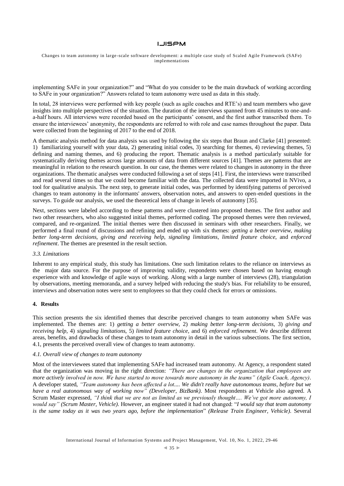Changes to team autonomy in large -scale software development: a multiple case study of Scaled Agile Framework (SAFe) implementations

implementing SAFe in your organization?" and "What do you consider to be the main drawback of working according to SAFe in your organization?" Answers related to team autonomy were used as data in this study.

In total, 28 interviews were performed with key people (such as agile coaches and RTE's) and team members who gave insights into multiple perspectives of the situation. The duration of the interviews spanned from 45 minutes to one-anda-half hours. All interviews were recorded based on the participants' consent, and the first author transcribed them. To ensure the interviewees' anonymity, the respondents are referred to with role and case names throughout the paper. Data were collected from the beginning of 2017 to the end of 2018.

A thematic analysis method for data analysis was used by following the six steps that Braun and Clarke [41] presented: 1) familiarizing yourself with your data, 2) generating initial codes, 3) searching for themes, 4) reviewing themes, 5) defining and naming themes, and 6) producing the report. Thematic analysis is a method particularly suitable for systematically deriving themes across large amounts of data from different sources [41]. Themes are patterns that are meaningful in relation to the research question. In our case, the themes were related to changes in autonomy in the three organizations. The thematic analyses were conducted following a set of steps [41]. First, the interviews were transcribed and read several times so that we could become familiar with the data. The collected data were imported in NVivo, a tool for qualitative analysis. The next step, to generate initial codes, was performed by identifying patterns of perceived changes to team autonomy in the informants' answers, observation notes, and answers to open-ended questions in the surveys. To guide our analysis, we used the theoretical lens of change in levels of autonomy [35].

Next, sections were labeled according to these patterns and were clustered into proposed themes. The first author and two other researchers, who also suggested initial themes, performed coding. The proposed themes were then reviewed, compared, and re-organized. The initial themes were then discussed in seminars with other researchers. Finally, we performed a final round of discussions and refining and ended up with six themes: *getting a better overview*, *making better long-term decisions*, *giving and receiving help*, *signaling limitations*, *limited feature choice*, and *enforced refinement*. The themes are presented in the result section.

#### *3.3. Limitations*

Inherent to any empirical study, this study has limitations. One such limitation relates to the reliance on interviews as the major data source. For the purpose of improving validity, respondents were chosen based on having enough experience with and knowledge of agile ways of working. Along with a large number of interviews (28), triangulation by observations, meeting memoranda, and a survey helped with reducing the study's bias. For reliability to be ensured, interviews and observation notes were sent to employees so that they could check for errors or omissions.

#### **4. Results**

This section presents the six identified themes that describe perceived changes to team autonomy when SAFe was implemented. The themes are: 1) *getting a better overview*, 2) *making better long-term decisions*, 3) *giving and receiving help*, 4) *signaling limitations*, 5) *limited feature choice*, and 6) *enforced refinement*. We describe different areas, benefits, and drawbacks of these changes to team autonomy in detail in the various subsections. The first section, 4.1, presents the perceived overall view of changes to team autonomy.

#### *4.1. Overall view of changes to team autonomy*

Most of the interviewees stated that implementing SAFe had increased team autonomy. At Agency, a respondent stated that the organization was moving in the right direction: *"There are changes in the organization that employees are more actively involved in now. We have started to move towards more autonomy in the teams" (Agile Coach, Agency)*. A developer stated, *"Team autonomy has been affected a lot.... We didn't really have autonomous teams, before but we have a real autonomous way of working now" (Developer, BizBank)*. Most respondents at Vehicle also agreed. A Scrum Master expressed, *"I think that we are not as limited as we previously thought…. We've got more autonomy, I would say" (Scrum Master, Vehicle)*. However, an engineer stated it had not changed: "*I would say that team autonomy is the same today as it was two years ago, before the implementation*" *(Release Train Engineer, Vehicle)*. Several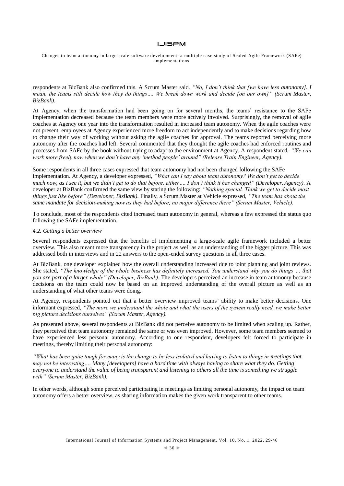Changes to team autonomy in large -scale software development: a multiple case study of Scaled Agile Framework (SAFe) implementations

respondents at BizBank also confirmed this. A Scrum Master said. *"No, I don't think that [we have less autonomy]. I mean, the teams still decide how they do things…. We break down work and decide [on our own]" (Scrum Master, BizBank)*.

At Agency, when the transformation had been going on for several months, the teams' resistance to the SAFe implementation decreased because the team members were more actively involved. Surprisingly, the removal of agile coaches at Agency one year into the transformation resulted in increased team autonomy. When the agile coaches were not present, employees at Agency experienced more freedom to act independently and to make decisions regarding how to change their way of working without asking the agile coaches for approval. The teams reported perceiving more autonomy after the coaches had left. Several commented that they thought the agile coaches had enforced routines and processes from SAFe by the book without trying to adapt to the environment at Agency. A respondent stated, *"We can work more freely now when we don't have any 'method people' around" (Release Train Engineer, Agency)*.

Some respondents in all three cases expressed that team autonomy had not been changed following the SAFe implementation. At Agency, a developer expressed, *"What can I say about team autonomy? We don't get to decide much now, as I see it, but we didn't get to do that before, either…. I don't think it has changed" (Developer, Agency)*. A developer at BizBank confirmed the same view by stating the following: *"Nothing special. Think we get to decide most things just like before" (Developer, BizBank)*. Finally, a Scrum Master at Vehicle expressed, *"The team has about the same mandate for decision-making now as they had before; no major difference there" (Scrum Master, Vehicle).*

To conclude, most of the respondents cited increased team autonomy in general, whereas a few expressed the status quo following the SAFe implementation.

#### *4.2. Getting a better overview*

Several respondents expressed that the benefits of implementing a large-scale agile framework included a better overview. This also meant more transparency in the project as well as an understanding of the bigger picture. This was addressed both in interviews and in 22 answers to the open-ended survey questions in all three cases.

At BizBank, one developer explained how the overall understanding increased due to joint planning and joint reviews. She stated, *"The knowledge of the whole business has definitely increased. You understand why you do things … that you are part of a larger whole" (Developer, BizBank)*. The developers perceived an increase in team autonomy because decisions on the team could now be based on an improved understanding of the overall picture as well as an understanding of what other teams were doing.

At Agency, respondents pointed out that a better overview improved teams' ability to make better decisions. One informant expressed, *"The more we understand the whole and what the users of the system really need, we make better big picture decisions ourselves" (Scrum Master, Agency)*.

As presented above, several respondents at BizBank did not perceive autonomy to be limited when scaling up. Rather, they perceived that team autonomy remained the same or was even improved. However, some team members seemed to have experienced less personal autonomy. According to one respondent, developers felt forced to participate in meetings, thereby limiting their personal autonomy:

*"What has been quite tough for many is the change to be less isolated and having to listen to things in meetings that may not be interesting…. Many [developers] have a hard time with always having to share what they do. Getting everyone to understand the value of being transparent and listening to others all the time is something we struggle with" (Scrum Master, BizBank).*

In other words, although some perceived participating in meetings as limiting personal autonomy, the impact on team autonomy offers a better overview, as sharing information makes the given work transparent to other teams.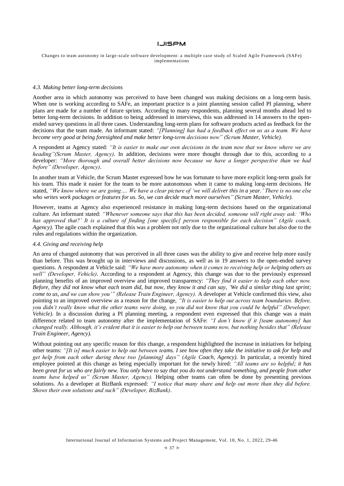Changes to team autonomy in large -scale software development: a multiple case study of Scaled Agile Framework (SAFe) implementations

#### *4.3. Making better long-term decisions*

Another area in which autonomy was perceived to have been changed was making decisions on a long-term basis. When one is working according to SAFe, an important practice is a joint planning session called PI planning, where plans are made for a number of future sprints. According to many respondents, planning several months ahead led to better long-term decisions. In addition to being addressed in interviews, this was addressed in 14 answers to the openended survey questions in all three cases. Understanding long-term plans for software products acted as feedback for the decisions that the team made. An informant stated: *"[Planning] has had a feedback effect on us as a team. We have become very good at being foresighted and make better long-term decisions now" (Scrum Master, Vehicle)*.

A respondent at Agency stated: *"It is easier to make our own decisions in the team now that we know where we are heading"(Scrum Master, Agency)*. In addition, decisions were more thought through due to this, according to a developer: *"More thorough and overall better decisions now because we have a longer perspective than we had before" (Developer, Agency)*.

In another team at Vehicle, the Scrum Master expressed how he was fortunate to have more explicit long-term goals for his team. This made it easier for the team to be more autonomous when it came to making long-term decisions. He stated, *"We know where we are going…. We have a clear picture of 'we will deliver this in a year.' There is no one else who writes work packages or features for us. So, we can decide much more ourselves" (Scrum Master, Vehicle).*

However, teams at Agency also experienced resistance in making long-term decisions based on the organizational culture. An informant stated: *"Whenever someone says that this has been decided, someone will right away ask: 'Who has approved that?' It is a culture of finding [one specific] person responsible for each decision" (Agile coach, Agency)*. The agile coach explained that this was a problem not only due to the organizational culture but also due to the rules and regulations within the organization.

### *4.4. Giving and receiving help*

An area of changed autonomy that was perceived in all three cases was the ability to give and receive help more easily than before. This was brought up in interviews and discussions, as well as in 19 answers to the open-ended survey questions. A respondent at Vehicle said: *"We have more autonomy when it comes to receiving help or helping others as well" (Developer, Vehicle)*. According to a respondent at Agency, this change was due to the previously expressed planning benefits of an improved overview and improved transparency: *"They find it easier to help each other now. Before, they did not know what each team did, but now, they know it and can say, 'We did a similar thing last sprint; come to us, and we can show you'" (Release Train Engineer, Agency).* A developer at Vehicle confirmed this view, also pointing to an improved overview as a reason for the change, "It is easier to help out across team boundaries. Before, *you didn't really know what the other teams were doing, so you did not know that you could be helpful" (Developer, Vehicle)*. In a discussion during a PI planning meeting, a respondent even expressed that this change was a main difference related to team autonomy after the implementation of SAFe: *"I don't know if it [team autonomy] has changed really. Although, it's evident that it is easier to help out between teams now, but nothing besides that" (Release Train Engineer, Agency).*

Without pointing out any specific reason for this change, a respondent highlighted the increase in initiatives for helping other teams: *"[It is] much easier to help out between teams. I see how often they take the initiative to ask for help and get help from each other during these two [planning] days" (Agile Coach, Agency)*. In particular, a recently hired employee pointed at this change as being especially important for the newly hired: *"All teams are so helpful; it has been great for us who are fairly new. You only have to say that you do not understand something, and people from other teams have helped us" (Scrum Master, Agency).* Helping other teams can often be done by presenting previous solutions. As a developer at BizBank expressed: *"I notice that many share and help out more than they did before. Shows their own solutions and such" (Developer, BizBank)*.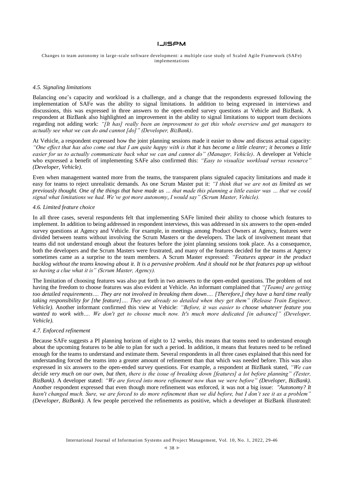Changes to team autonomy in large -scale software development: a multiple case study of Scaled Agile Framework (SAFe) implementations

#### *4.5. Signaling limitations*

Balancing one's capacity and workload is a challenge, and a change that the respondents expressed following the implementation of SAFe was the ability to signal limitations. In addition to being expressed in interviews and discussions, this was expressed in three answers to the open-ended survey questions at Vehicle and BizBank. A respondent at BizBank also highlighted an improvement in the ability to signal limitations to support team decisions regarding not adding work: *"[It has] really been an improvement to get this whole overview and get managers to actually see what we can do and cannot [do]" (Developer, BizBank)*.

At Vehicle, a respondent expressed how the joint planning sessions made it easier to show and discuss actual capacity: *"One effect that has also come out that I am quite happy with is that it has become a little clearer; it becomes a little easier for us to actually communicate back what we can and cannot do" (Manager, Vehicle)*. A developer at Vehicle who expressed a benefit of implementing SAFe also confirmed this: *"Easy to visualize workload versus resource" (Developer, Vehicle)*.

Even when management wanted more from the teams, the transparent plans signaled capacity limitations and made it easy for teams to reject unrealistic demands. As one Scrum Master put it: *"I think that we are not as limited as we previously thought. One of the things that have made us … that made this planning a little easier was … that we could signal what limitations we had. We've got more autonomy, I would say" (Scrum Master, Vehicle).*

#### *4.6. Limited feature choice*

In all three cases, several respondents felt that implementing SAFe limited their ability to choose which features to implement. In addition to being addressed in respondent interviews, this was addressed in six answers to the open-ended survey questions at Agency and Vehicle. For example, in meetings among Product Owners at Agency, features were divided between teams without involving the Scrum Masters or the developers. The lack of involvement meant that teams did not understand enough about the features before the joint planning sessions took place. As a consequence, both the developers and the Scrum Masters were frustrated, and many of the features decided for the teams at Agency sometimes came as a surprise to the team members. A Scrum Master expressed: *"Features appear in the product backlog without the teams knowing about it. It is a pervasive problem. And it should not be that features pop up without us having a clue what it is" (Scrum Master, Agency).*

The limitation of choosing features was also put forth in two answers to the open-ended questions. The problem of not having the freedom to choose features was also evident at Vehicle. An informant complained that *"[Teams] are getting too detailed requirements…. They are not involved in breaking them down…. [Therefore,] they have a hard time really*  taking responsibility for [the feature].... They are already so detailed when they get them" (Release Train Engineer, *Vehicle)*. Another informant confirmed this view at Vehicle: *"Before, it was easier to choose whatever feature you wanted to work with…. We don't get to choose much now. It's much more dedicated [in advance]" (Developer, Vehicle)*.

#### *4.7. Enforced refinement*

Because SAFe suggests a PI planning horizon of eight to 12 weeks, this means that teams need to understand enough about the upcoming features to be able to plan for such a period. In addition, it means that features need to be refined enough for the teams to understand and estimate them. Several respondents in all three cases explained that this need for understanding forced the teams into a greater amount of refinement than that which was needed before. This was also expressed in six answers to the open-ended survey questions. For example, a respondent at BizBank stated, *"We can decide very much on our own, but then, there is the issue of breaking down [features] a lot before planning" (Tester, BizBank)*. A developer stated: *"We are forced into more refinement now than we were before" (Developer, BizBank)*. Another respondent expressed that even though more refinement was enforced, it was not a big issue: *"Autonomy? It hasn't changed much. Sure, we are forced to do more refinement than we did before, but I don't see it as a problem" (Developer, BizBank)*. A few people perceived the refinements as positive, which a developer at BizBank illustrated: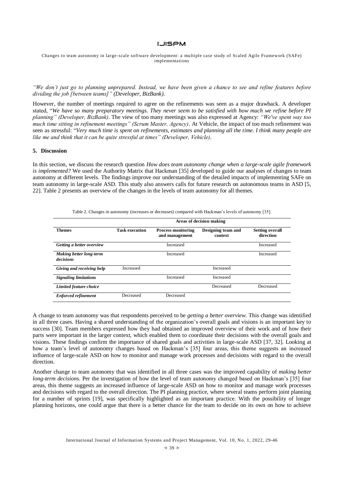Changes to team autonomy in large -scale software development: a multiple case study of Scaled Agile Framework (SAFe) implementations

*"We don't just go to planning unprepared. Instead, we have been given a chance to see and refine features before dividing the job [between teams]" (Developer, BizBank)*.

However, the number of meetings required to agree on the refinements was seen as a major drawback. A developer stated, "*We have so many preparatory meetings. They never seem to be satisfied with how much we refine before PI planning" (Developer, BizBank)*. The view of too many meetings was also expressed at Agency: *"We've spent way too much time sitting in refinement meetings" (Scrum Master, Agency)*. At Vehicle, the impact of too much refinement was seen as stressful: "*Very much time is spent on refinements, estimates and planning all the time. I think many people are like me and think that it can be quite stressful at times" (Developer, Vehicle)*.

#### **5. Discussion**

In this section, we discuss the research question *How does team autonomy change when a large-scale agile framework is implemented?* We used the Authority Matrix that Hackman [35] developed to guide our analyses of changes to team autonomy at different levels. The findings improve our understanding of the detailed impacts of implementing SAFe on team autonomy in large-scale ASD. This study also answers calls for future research on autonomous teams in ASD [5, 22]. Table 2 presents an overview of the changes in the levels of team autonomy for all themes.

|                                      | Areas of decision making |                                             |                               |                                     |
|--------------------------------------|--------------------------|---------------------------------------------|-------------------------------|-------------------------------------|
|                                      |                          |                                             |                               |                                     |
| <b>Themes</b>                        | <b>Task execution</b>    | <b>Process monitoring</b><br>and management | Designing team and<br>context | <b>Setting overall</b><br>direction |
| Getting a better overview            |                          | Increased                                   |                               | Increased                           |
| Making better long-term<br>decisions |                          | Increased                                   |                               | Increased                           |
| Giving and receiving help            | Increased                |                                             | Increased                     |                                     |
| <b>Signaling limitations</b>         |                          | Increased                                   | Increased                     |                                     |
| Limited feature choice               |                          |                                             | Decreased                     | Decreased                           |
| <b>Enforced refinement</b>           | Decreased                | Decreased                                   |                               |                                     |

Table 2. Changes in autonomy (increases or decreases) compared with Hackman's levels of autonomy [35].

A change to team autonomy was that respondents perceived to be *getting a better overview*. This change was identified in all three cases. Having a shared understanding of the organization's overall goals and visions is an important key to success [30]. Team members expressed how they had obtained an improved overview of their work and of how their parts were important in the larger context, which enabled them to coordinate their decisions with the overall goals and visions. These findings confirm the importance of shared goals and activities in large-scale ASD [37, 32]. Looking at how a team's level of autonomy changes based on Hackman's [35] four areas, this theme suggests an increased influence of large-scale ASD on how to monitor and manage work processes and decisions with regard to the overall direction.

Another change to team autonomy that was identified in all three cases was the improved capability of *making better long-term decisions*. Per the investigation of how the level of team autonomy changed based on Hackman's [35] four areas, this theme suggests an increased influence of large-scale ASD on how to monitor and manage work processes and decisions with regard to the overall direction. The PI planning practice, where several teams perform joint planning for a number of sprints [19], was specifically highlighted as an important practice. With the possibility of longer planning horizons, one could argue that there is a better chance for the team to decide on its own on how to achieve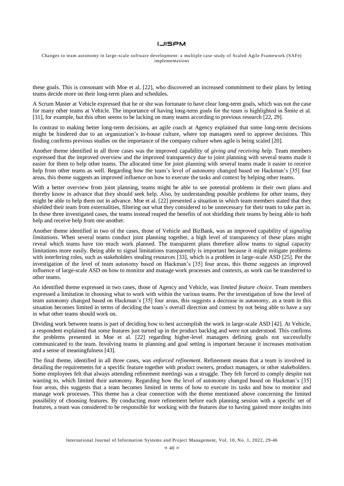Changes to team autonomy in large -scale software development: a multiple case study of Scaled Agile Framework (SAFe) implementations

these goals. This is consonant with Moe et al. [22], who discovered an increased commitment to their plans by letting teams decide more on their long-term plans and schedules.

A Scrum Master at Vehicle expressed that he or she was fortunate to have clear long-term goals, which was not the case for many other teams at Vehicle. The importance of having long-term goals for the team is highlighted in Šmite et al. [31], for example, but this often seems to be lacking on many teams according to previous research [22, 29].

In contrast to making better long-term decisions, an agile coach at Agency explained that some long-term decisions might be hindered due to an organization's in-house culture, where top managers need to approve decisions. This finding confirms previous studies on the importance of the company culture when agile is being scaled [20].

Another theme identified in all three cases was the improved capability of *giving and receiving help.* Team members expressed that the improved overview and the improved transparency due to joint planning with several teams made it easier for them to help other teams. The allocated time for joint planning with several teams made it easier to receive help from other teams as well. Regarding how the team's level of autonomy changed based on Hackman's [35] four areas, this theme suggests an improved influence on how to execute the tasks and context by helping other teams.

With a better overview from joint planning, teams might be able to see potential problems in their own plans and thereby know in advance that they should seek help. Also, by understanding possible problems for other teams, they might be able to help them out in advance. Moe et al. [22] presented a situation in which team members stated that they shielded their team from externalities, filtering out what they considered to be unnecessary for their team to take part in. In these three investigated cases, the teams instead reaped the benefits of not shielding their teams by being able to both help and receive help from one another.

Another theme identified in two of the cases, those of Vehicle and BizBank, was an improved capability of *signaling limitations*. When several teams conduct joint planning together, a high level of transparency of these plans might reveal which teams have too much work planned. The transparent plans therefore allow teams to signal capacity limitations more easily. Being able to signal limitations transparently is important because it might mitigate problems with interfering roles, such as stakeholders stealing resources [33], which is a problem in large-scale ASD [25]. Per the investigation of the level of team autonomy based on Hackman's [35] four areas, this theme suggests an improved influence of large-scale ASD on how to monitor and manage work processes and contexts, as work can be transferred to other teams.

An identified theme expressed in two cases, those of Agency and Vehicle, was *limited feature choice.* Team members expressed a limitation in choosing what to work with within the various teams. Per the investigation of how the level of team autonomy changed based on Hackman's [35] four areas, this suggests a decrease in autonomy, as a team in this situation becomes limited in terms of deciding the team's overall direction and context by not being able to have a say in what other teams should work on.

Dividing work between teams is part of deciding how to best accomplish the work in large-scale ASD [42]. At Vehicle, a respondent explained that some features just turned up in the product backlog and were not understood. This confirms the problems presented in Moe et al. [22] regarding higher-level managers defining goals not successfully communicated to the team. Involving teams in planning and goal setting is important because it increases motivation and a sense of meaningfulness [43].

The final theme, identified in all three cases, was *enforced refinement*. Refinement means that a team is involved in detailing the requirements for a specific feature together with product owners, product managers, or other stakeholders. Some employees felt that always attending refinement meetings was a struggle. They felt forced to comply despite not wanting to, which limited their autonomy. Regarding how the level of autonomy changed based on Hackman's [35] four areas, this suggests that a team becomes limited in terms of how to execute its tasks and how to monitor and manage work processes. This theme has a clear connection with the theme mentioned above concerning the limited possibility of choosing features. By conducting more refinement before each planning session with a specific set of features, a team was considered to be responsible for working with the features due to having gained more insights into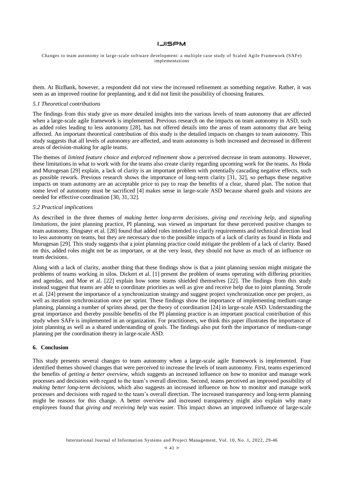Changes to team autonomy in large -scale software development: a multiple case study of Scaled Agile Framework (SAFe) implementations

them. At BizBank, however, a respondent did not view the increased refinement as something negative. Rather, it was seen as an improved routine for preplanning, and it did not limit the possibility of choosing features.

## *5.1 Theoretical contributions*

The findings from this study give us more detailed insights into the various levels of team autonomy that are affected when a large-scale agile framework is implemented. Previous research on the impacts on team autonomy in ASD, such as added roles leading to less autonomy [28], has not offered details into the areas of team autonomy that are being affected. An important theoretical contribution of this study is the detailed impacts on changes to team autonomy. This study suggests that all levels of autonomy are affected, and team autonomy is both increased and decreased in different areas of decision-making for agile teams.

The themes of *limited feature choice* and *enforced refinement* show a perceived decrease in team autonomy. However, these limitations in what to work with for the teams also create clarity regarding upcoming work for the teams. As Hoda and Murugesan [29] explain, a lack of clarity is an important problem with potentially cascading negative effects, such as possible rework. Previous research shows the importance of long-term clarity [31, 32], so perhaps these negative impacts on team autonomy are an acceptable price to pay to reap the benefits of a clear, shared plan. The notion that some level of autonomy must be sacrificed [4] makes sense in large-scale ASD because shared goals and visions are needed for effective coordination [30, 31, 32].

#### *5.2 Practical implications*

As described in the three themes of *making better long-term decisions*, *giving and receiving help*, and *signaling limitations*, the joint planning practice, PI planning, was viewed as important for these perceived positive changes to team autonomy. Dingsøyr et al. [28] found that added roles intended to clarify requirements and technical direction lead to less autonomy on teams, but they are necessary due to the possible impacts of a lack of clarity as found in Hoda and Murugesan [29]. This study suggests that a joint planning practice could mitigate the problem of a lack of clarity. Based on this, added roles might not be as important, or at the very least, they should not have as much of an influence on team decisions.

Along with a lack of clarity, another thing that these findings show is that a joint planning session might mitigate the problems of teams working in silos. Dickert et al. [1] present the problem of teams operating with differing priorities and agendas, and Moe et al. [22] explain how some teams shielded themselves [22]. The findings from this study instead suggest that teams are able to coordinate priorities as well as give and receive help due to joint planning. Strode et al. [24] present the importance of a synchronization strategy and suggest project synchronization once per project, as well as iteration synchronization once per sprint. These findings show the importance of implementing medium-range planning, planning a number of sprints ahead, per the theory of coordination [24] in large-scale ASD. Understanding the great importance and thereby possible benefits of the PI planning practice is an important practical contribution of this study when SAFe is implemented in an organization. For practitioners, we think this paper illustrates the importance of joint planning as well as a shared understanding of goals. The findings also put forth the importance of medium-range planning per the coordination theory in large-scale ASD.

#### **6. Conclusion**

This study presents several changes to team autonomy when a large-scale agile framework is implemented. Four identified themes showed changes that were perceived to increase the levels of team autonomy. First, teams experienced the benefits of *getting a better overview*, which suggests an increased influence on how to monitor and manage work processes and decisions with regard to the team's overall direction. Second, teams perceived an improved possibility of *making better long-term decisions*, which also suggests an increased influence on how to monitor and manage work processes and decisions with regard to the team's overall direction. The increased transparency and long-term planning might be reasons for this change. A better overview and increased transparency might also explain why many employees found that *giving and receiving help* was easier. This impact shows an improved influence of large-scale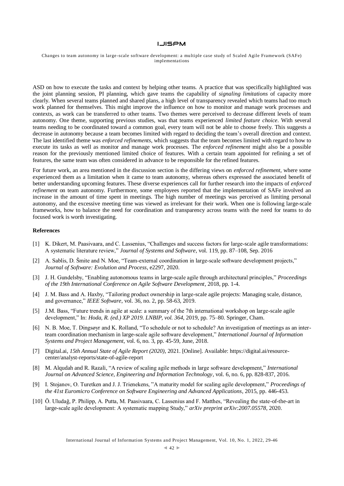Changes to team autonomy in large -scale software development: a multiple case study of Scaled Agile Framework (SAFe) implementations

ASD on how to execute the tasks and context by helping other teams. A practice that was specifically highlighted was the joint planning session, PI planning, which gave teams the capability of *signaling limitations* of capacity more clearly. When several teams planned and shared plans, a high level of transparency revealed which teams had too much work planned for themselves. This might improve the influence on how to monitor and manage work processes and contexts, as work can be transferred to other teams. Two themes were perceived to decrease different levels of team autonomy. One theme, supporting previous studies, was that teams experienced *limited feature choice*. With several teams needing to be coordinated toward a common goal, every team will not be able to choose freely. This suggests a decrease in autonomy because a team becomes limited with regard to deciding the team's overall direction and context. The last identified theme was *enforced refinements*, which suggests that the team becomes limited with regard to how to execute its tasks as well as monitor and manage work processes. The *enforced refinement* might also be a possible reason for the previously mentioned limited choice of features. With a certain team appointed for refining a set of features, the same team was often considered in advance to be responsible for the refined features.

For future work, an area mentioned in the discussion section is the differing views on *enforced refinement*, where some experienced them as a limitation when it came to team autonomy, whereas others expressed the associated benefit of better understanding upcoming features. These diverse experiences call for further research into the impacts of *enforced refinement* on team autonomy. Furthermore, some employees reported that the implementation of SAFe involved an increase in the amount of time spent in meetings. The high number of meetings was perceived as limiting personal autonomy, and the excessive meeting time was viewed as irrelevant for their work. When one is following large-scale frameworks, how to balance the need for coordination and transparency across teams with the need for teams to do focused work is worth investigating.

#### **References**

- [1] K. Dikert, M. Paasivaara, and C. Lassenius, "Challenges and success factors for large-scale agile transformations: A systematic literature review," *Journal of Systems and Software*, vol. 119, pp. 87–108, Sep. 2016
- [2] A. Sablis, D. Šmite and N. Moe, "Team-external coordination in large-scale software development projects," *Journal of Software: Evolution and Process*, e2297, 2020.
- [3] J. H. Gundelsby, "Enabling autonomous teams in large-scale agile through architectural principles," *Proceedings of the 19th International Conference on Agile Software Development*, 2018, pp. 1-4.
- [4] J. M. Bass and A. Haxby, "Tailoring product ownership in large-scale agile projects: Managing scale, distance, and governance," *IEEE Software*, vol. 36, no. 2, pp. 58-63, 2019.
- [5] J.M. Bass, "Future trends in agile at scale: a summary of the 7th international workshop on large-scale agile development," In: *Hoda, R. (ed.) XP 2019. LNBIP, vol. 364*, 2019, pp. 75–80. Springer, Cham.
- [6] N. B. Moe, T. Dingsøyr and K. Rolland, "To schedule or not to schedule? An investigation of meetings as an interteam coordination mechanism in large-scale agile software development," *International Journal of Information Systems and Project Management*, vol. 6, no. 3, pp. 45-59, June, 2018.
- [7] Digital.ai, *15th Annual State of Agile Report (2020)*, 2021. [Online]. Available: https://digital.ai/resourcecenter/analyst-reports/state-of-agile-report
- [8] M. Alqudah and R. Razali, "A review of scaling agile methods in large software development," *International Journal on Advanced Science, Engineering and Information Technology*, vol. 6, no. 6, pp. 828-837, 2016.
- [9] I. Stojanov, O. Turetken and J. J. Trienekens, "A maturity model for scaling agile development," *Proceedings of the 41st Euromicro Conference on Software Engineering and Advanced Applications*, 2015, pp. 446-453.
- [10] Ö. Uludağ, P. Philipp, A. Putta, M. Paasivaara, C. Lassenius and F. Matthes, "Revealing the state-of-the-art in large-scale agile development: A systematic mapping Study," *arXiv preprint arXiv:2007.05578*, 2020.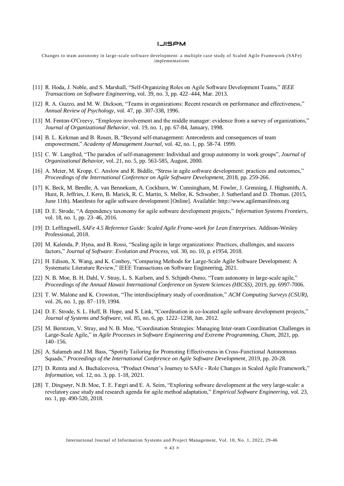Changes to team autonomy in large -scale software development: a multiple case study of Scaled Agile Framework (SAFe) implementations

- [11] R. Hoda, J. Noble, and S. Marshall, "Self-Organizing Roles on Agile Software Development Teams," *IEEE Transactions on Software Engineering*, vol. 39, no. 3, pp. 422–444, Mar. 2013.
- [12] R. A. Guzzo, and M. W. Dickson, "Teams in organizations: Recent research on performance and effectiveness," *Annual Review of Psychology*, vol. 47, pp. 307-338, 1996.
- [13] M. Fenton-O'Creevy, "Employee involvement and the middle manager: evidence from a survey of organizations," *Journal of Organizational Behavior*, vol. 19, no. 1, pp. 67-84, January, 1998.
- [14] B. L. Kirkman and B. Rosen, B, "Beyond self-management: Antecedents and consequences of team empowerment," *Academy of Management Journal*, vol. 42, no. 1, pp. 58-74. 1999.
- [15] C. W. Langfred, "The paradox of self-management: Individual and group autonomy in work groups", *Journal of Organizational Behavior*, vol. 21, no. 5, pp. 563-585, August, 2000.
- [16] A. Meier, M. Kropp, C. Anslow and R. Biddle, "Stress in agile software development: practices and outcomes," *Proceedings of the International Conference on Agile Software Development*, 2018, pp. 259-266.
- [17] K. Beck, M. Beedle, A. van Bennekum, A. Cockburn, W. Cunningham, M. Fowler, J. Grenning, J. Highsmith, A. Hunt, R. Jeffries, J. Kern, B. Marick, R. C. Martin, S. Mellor, K. Schwaber, J. Sutherland and D. Thomas. (2015, June 11th). Manifesto for agile software development [Online]. Available: http://www.agilemanifesto.org
- [18] D. E. Strode, "A dependency taxonomy for agile software development projects," *Information Systems Frontiers*, vol. 18, no. 1, pp. 23–46, 2016.
- [19] D. Leffingwell, *SAFe 4.5 Reference Guide: Scaled Agile Frame-work for Lean Enterprises*. Addison-Wesley Professional, 2018.
- [20] M. Kalenda, P. Hyna, and B. Rossi, "Scaling agile in large organizations: Practices, challenges, and success factors," *Journal of Software: Evolution and Process*, vol. 30, no. 10, p. e1954, 2018.
- [21] H. Edison, X. Wang, and K. Conboy, "Comparing Methods for Large-Scale Agile Software Development: A Systematic Literature Review," IEEE Transactions on Software Engineering, 2021.
- [22] N. B. Moe, B. H. Dahl, V. Stray, L. S. Karlsen, and S. Schjødt-Osmo, "Team autonomy in large-scale agile," *Proceedings of the Annual Hawaii International Conference on System Sciences (HICSS)*, 2019, pp. 6997-7006.
- [23] T. W. Malone and K. Crowston, "The interdisciplinary study of coordination," *ACM Computing Surveys (CSUR)*, vol. 26, no. 1, pp. 87–119, 1994.
- [24] D. E. Strode, S. L. Huff, B. Hope, and S. Link, "Coordination in co-located agile software development projects," *Journal of Systems and Software*, vol. 85, no. 6, pp. 1222–1238, Jun. 2012.
- [25] M. Berntzen, V. Stray, and N. B. Moe, "Coordination Strategies: Managing Inter-team Coordination Challenges in Large-Scale Agile," in *Agile Processes in Software Engineering and Extreme Programming, Cham*, 2021, pp. 140–156.
- [26] A. Salameh and J.M. Bass, "Spotify Tailoring for Promoting Effectiveness in Cross-Functional Autonomous Squads," *Proceedings of the International Conference on Agile Software Development*, 2019, pp. 20-28.
- [27] D. Remta and A. Buchalcevova, "Product Owner's Journey to SAFe Role Changes in Scaled Agile Framework," *Information*, vol. 12, no. 3, pp. 1-18, 2021.
- [28] T. Dingsøyr, N.B. Moe, T. E. Fægri and E. A. Seim, "Exploring software development at the very large-scale: a revelatory case study and research agenda for agile method adaptation," *Empirical Software Engineering*, vol. 23, no. 1, pp. 490-520, 2018.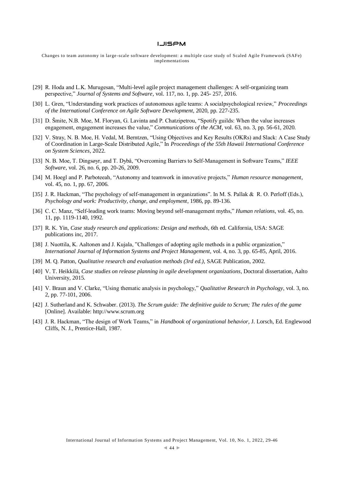Changes to team autonomy in large -scale software development: a multiple case study of Scaled Agile Framework (SAFe) implementations

- [29] R. Hoda and L.K. Murugesan, "Multi-level agile project management challenges: A self-organizing team perspective," *Journal of Systems and Software*, vol. 117, no. 1, pp. 245- 257, 2016.
- [30] L. Gren, "Understanding work practices of autonomous agile teams: A socialpsychological review," *Proceedings of the International Conference on Agile Software Development*, 2020, pp. 227-235.
- [31] D. Šmite, N.B. Moe, M. Floryan, G. Lavinta and P. Chatzipetrou, "Spotify guilds: When the value increases engagement, engagement increases the value," *Communications of the ACM*, vol. 63, no. 3, pp. 56-61, 2020.
- [32] V. Stray, N. B. Moe, H. Vedal, M. Berntzen, "Using Objectives and Key Results (OKRs) and Slack: A Case Study of Coordination in Large-Scale Distributed Agile," In *Proceedings of the 55th Hawaii International Conference on System Sciences*, 2022.
- [33] N. B. Moe, T. Dingsøyr, and T. Dybå, "Overcoming Barriers to Self-Management in Software Teams," *IEEE Software*, vol. 26, no. 6, pp. 20-26, 2009.
- [34] M. Hoegl and P. Parboteeah, "Autonomy and teamwork in innovative projects," *Human resource management*, vol. 45, no. 1, pp. 67, 2006.
- [35] J. R. Hackman, "The psychology of self-management in organizations". In M. S. Pallak & R. O. Perloff (Eds.), *Psychology and work: Productivity, change, and employment*, 1986, pp. 89-136.
- [36] C. C. Manz, "Self-leading work teams: Moving beyond self-management myths," *Human relations*, vol. 45, no. 11, pp. 1119-1140, 1992.
- [37] R. K. Yin, *Case study research and applications: Design and methods*, *6*th ed. California, USA: SAGE publications inc, 2017.
- [38] J. Nuottila, K. Aaltonen and J. Kujala, "Challenges of adopting agile methods in a public organization," *International Journal of Information Systems and Project Management*, vol. 4, no. 3, pp. 65-85, April, 2016.
- [39] M. Q. Patton, *Qualitative research and evaluation methods (3rd ed.)*, SAGE Publication, 2002.
- [40] V. T. Heikkilä, *Case studies on release planning in agile development organizations*, Doctoral dissertation, Aalto University, 2015.
- [41] V. Braun and V. Clarke, "Using thematic analysis in psychology," *Qualitative Research in Psychology*, vol. 3, no. 2, pp. 77-101, 2006.
- [42] J. Sutherland and K. Schwaber. (2013). *The Scrum guide: The definitive guide to Scrum; The rules of the game* [Online]. Available: http://www.scrum.org
- [43] J. R. Hackman, "The design of Work Teams," in *Handbook of organizational behavior*, J. Lorsch, Ed. Englewood Cliffs, N. J., Prentice-Hall, 1987.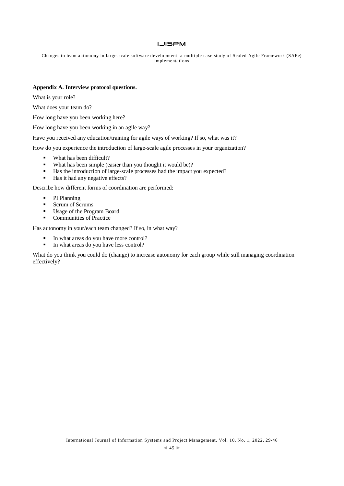Changes to team autonomy in large -scale software development: a multiple case study of Scaled Agile Framework (SAFe) implementations

### **Appendix A. Interview protocol questions.**

What is your role?

What does your team do?

How long have you been working here?

How long have you been working in an agile way?

Have you received any education/training for agile ways of working? If so, what was it?

How do you experience the introduction of large-scale agile processes in your organization?

- What has been difficult?
- What has been simple (easier than you thought it would be)?
- Has the introduction of large-scale processes had the impact you expected?
- Has it had any negative effects?

Describe how different forms of coordination are performed:

- PI Planning
- Scrum of Scrums
- Usage of the Program Board
- **Communities of Practice**

Has autonomy in your/each team changed? If so, in what way?

- In what areas do you have more control?
- In what areas do you have less control?

What do you think you could do (change) to increase autonomy for each group while still managing coordination effectively?